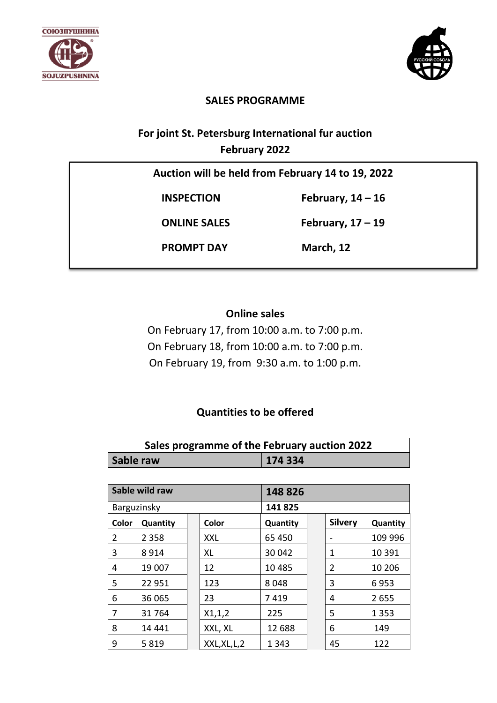



### **SALES PROGRAMME**

## **For joint St. Petersburg International fur auction February 2022**

| Auction will be held from February 14 to 19, 2022 |                     |  |  |  |
|---------------------------------------------------|---------------------|--|--|--|
| <b>INSPECTION</b>                                 | February, $14 - 16$ |  |  |  |
| <b>ONLINE SALES</b>                               | February, $17 - 19$ |  |  |  |
| <b>PROMPT DAY</b>                                 | March, 12           |  |  |  |
|                                                   |                     |  |  |  |

### **Online sales**

On February 17, from 10:00 a.m. to 7:00 p.m. On February 18, from 10:00 a.m. to 7:00 p.m. On February 19, from 9:30 a.m. to 1:00 p.m.

## **Quantities to be offered**

| Sales programme of the February auction 2022 |        |  |  |
|----------------------------------------------|--------|--|--|
| Sable raw                                    | 174334 |  |  |

| Sable wild raw |          |         | 148826        |          |  |                |          |
|----------------|----------|---------|---------------|----------|--|----------------|----------|
| Barguzinsky    |          | 141 825 |               |          |  |                |          |
| Color          | Quantity |         | Color         | Quantity |  | <b>Silvery</b> | Quantity |
| 2              | 2 3 5 8  |         | XXL           | 65 450   |  |                | 109 996  |
| 3              | 8914     |         | XL            | 30 042   |  | 1              | 10 391   |
| 4              | 19 007   |         | 12            | 10 4 85  |  | 2              | 10 20 6  |
| 5              | 22 951   |         | 123           | 8048     |  | 3              | 6953     |
| 6              | 36 065   |         | 23            | 7419     |  | 4              | 2655     |
| 7              | 31764    |         | X1,1,2        | 225      |  | 5              | 1 3 5 3  |
| 8              | 14 4 4 1 |         | XXL, XL       | 12 688   |  | 6              | 149      |
| 9              | 5819     |         | XXL, XL, L, 2 | 1 3 4 3  |  | 45             | 122      |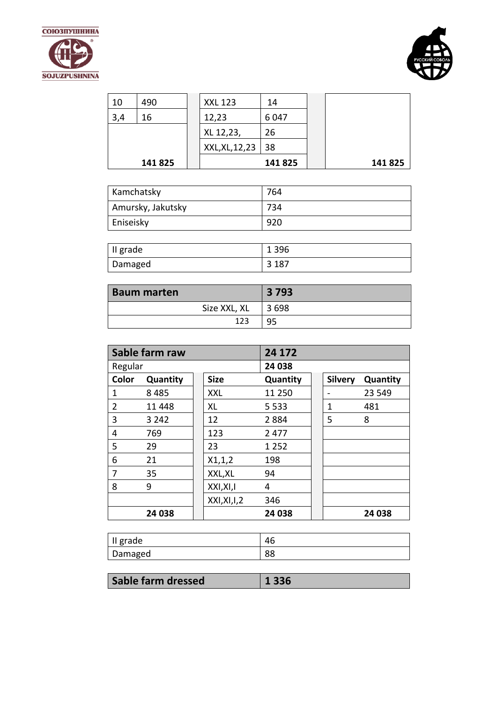



| 10  | 490     | <b>XXL 123</b>  | 14      |        |
|-----|---------|-----------------|---------|--------|
| 3,4 | 16      | 12,23           | 6047    |        |
|     |         | XL 12,23,       | 26      |        |
|     |         | XXL, XL, 12, 23 | 38      |        |
|     | 141 825 |                 | 141 825 | 141825 |

| Kamchatsky        | 764 |
|-------------------|-----|
| Amursky, Jakutsky | 734 |
| Eniseisky         | 920 |

| Il grade | 1 3 9 6 |
|----------|---------|
| Damaged  | 3 1 8 7 |

| <b>Baum marten</b> | 3 7 9 3 |
|--------------------|---------|
| Size XXL, XL       | 3 698   |
| 123                |         |

|                | Sable farm raw |               | 24 172   |                |          |
|----------------|----------------|---------------|----------|----------------|----------|
| Regular        |                |               | 24 038   |                |          |
| Color          | Quantity       | <b>Size</b>   | Quantity | <b>Silvery</b> | Quantity |
| 1              | 8485           | XXL           | 11 250   |                | 23 549   |
| $\overline{2}$ | 11 4 48        | XL            | 5 5 3 3  | 1              | 481      |
| 3              | 3 2 4 2        | 12            | 2884     | 5              | 8        |
| 4              | 769            | 123           | 2 4 7 7  |                |          |
| 5              | 29             | 23            | 1 2 5 2  |                |          |
| 6              | 21             | X1,1,2        | 198      |                |          |
| 7              | 35             | XXL, XL       | 94       |                |          |
| 8              | 9              | XXI, XI, I    | 4        |                |          |
|                |                | XXI, XI, I, 2 | 346      |                |          |
|                | 24 038         |               | 24 038   |                | 24 038   |

| grade   | $\sim$<br>+∪ |
|---------|--------------|
| Damaged | oc<br>oo     |

| Sable farm dressed | $\parallel$ 1 336 |
|--------------------|-------------------|
|                    |                   |